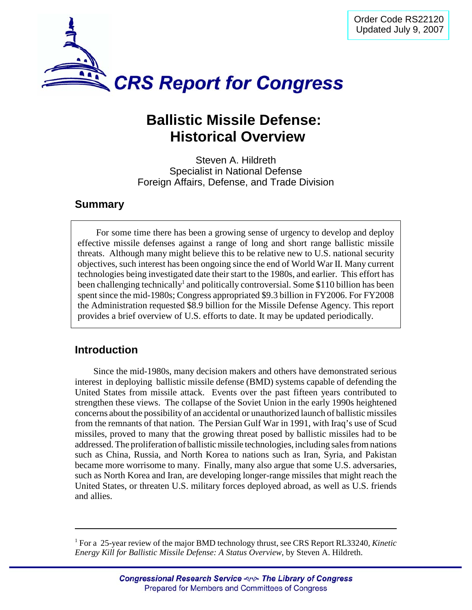

# **Ballistic Missile Defense: Historical Overview**

Steven A. Hildreth Specialist in National Defense Foreign Affairs, Defense, and Trade Division

#### **Summary**

For some time there has been a growing sense of urgency to develop and deploy effective missile defenses against a range of long and short range ballistic missile threats. Although many might believe this to be relative new to U.S. national security objectives, such interest has been ongoing since the end of World War II. Many current technologies being investigated date their start to the 1980s, and earlier. This effort has been challenging technically<sup>1</sup> and politically controversial. Some \$110 billion has been spent since the mid-1980s; Congress appropriated \$9.3 billion in FY2006. For FY2008 the Administration requested \$8.9 billion for the Missile Defense Agency. This report provides a brief overview of U.S. efforts to date. It may be updated periodically.

## **Introduction**

Since the mid-1980s, many decision makers and others have demonstrated serious interest in deploying ballistic missile defense (BMD) systems capable of defending the United States from missile attack. Events over the past fifteen years contributed to strengthen these views. The collapse of the Soviet Union in the early 1990s heightened concerns about the possibility of an accidental or unauthorized launch of ballistic missiles from the remnants of that nation. The Persian Gulf War in 1991, with Iraq's use of Scud missiles, proved to many that the growing threat posed by ballistic missiles had to be addressed. The proliferation of ballistic missile technologies, including sales from nations such as China, Russia, and North Korea to nations such as Iran, Syria, and Pakistan became more worrisome to many. Finally, many also argue that some U.S. adversaries, such as North Korea and Iran, are developing longer-range missiles that might reach the United States, or threaten U.S. military forces deployed abroad, as well as U.S. friends and allies.

<sup>1</sup> For a 25-year review of the major BMD technology thrust, see CRS Report RL33240, *Kinetic Energy Kill for Ballistic Missile Defense: A Status Overview*, by Steven A. Hildreth.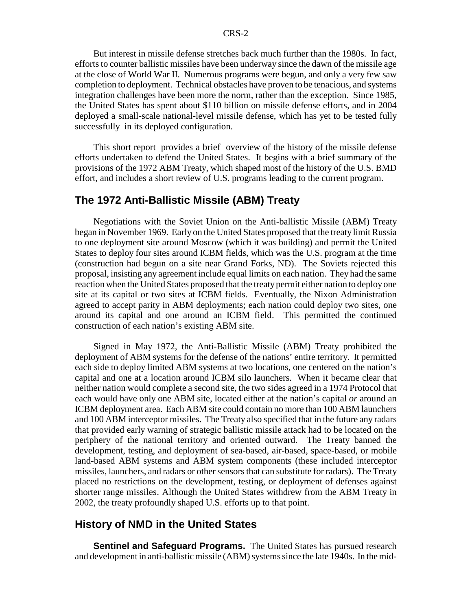But interest in missile defense stretches back much further than the 1980s. In fact, efforts to counter ballistic missiles have been underway since the dawn of the missile age at the close of World War II. Numerous programs were begun, and only a very few saw completion to deployment. Technical obstacles have proven to be tenacious, and systems integration challenges have been more the norm, rather than the exception. Since 1985, the United States has spent about \$110 billion on missile defense efforts, and in 2004 deployed a small-scale national-level missile defense, which has yet to be tested fully successfully in its deployed configuration.

This short report provides a brief overview of the history of the missile defense efforts undertaken to defend the United States. It begins with a brief summary of the provisions of the 1972 ABM Treaty, which shaped most of the history of the U.S. BMD effort, and includes a short review of U.S. programs leading to the current program.

#### **The 1972 Anti-Ballistic Missile (ABM) Treaty**

Negotiations with the Soviet Union on the Anti-ballistic Missile (ABM) Treaty began in November 1969. Early on the United States proposed that the treaty limit Russia to one deployment site around Moscow (which it was building) and permit the United States to deploy four sites around ICBM fields, which was the U.S. program at the time (construction had begun on a site near Grand Forks, ND). The Soviets rejected this proposal, insisting any agreement include equal limits on each nation. They had the same reaction when the United States proposed that the treaty permit either nation to deploy one site at its capital or two sites at ICBM fields. Eventually, the Nixon Administration agreed to accept parity in ABM deployments; each nation could deploy two sites, one around its capital and one around an ICBM field. This permitted the continued construction of each nation's existing ABM site.

Signed in May 1972, the Anti-Ballistic Missile (ABM) Treaty prohibited the deployment of ABM systems for the defense of the nations' entire territory. It permitted each side to deploy limited ABM systems at two locations, one centered on the nation's capital and one at a location around ICBM silo launchers. When it became clear that neither nation would complete a second site, the two sides agreed in a 1974 Protocol that each would have only one ABM site, located either at the nation's capital *or* around an ICBM deployment area. Each ABM site could contain no more than 100 ABM launchers and 100 ABM interceptor missiles. The Treaty also specified that in the future any radars that provided early warning of strategic ballistic missile attack had to be located on the periphery of the national territory and oriented outward. The Treaty banned the development, testing, and deployment of sea-based, air-based, space-based, or mobile land-based ABM systems and ABM system components (these included interceptor missiles, launchers, and radars or other sensors that can substitute for radars). The Treaty placed no restrictions on the development, testing, or deployment of defenses against shorter range missiles. Although the United States withdrew from the ABM Treaty in 2002, the treaty profoundly shaped U.S. efforts up to that point.

#### **History of NMD in the United States**

**Sentinel and Safeguard Programs.** The United States has pursued research and development in anti-ballistic missile (ABM) systems since the late 1940s. In the mid-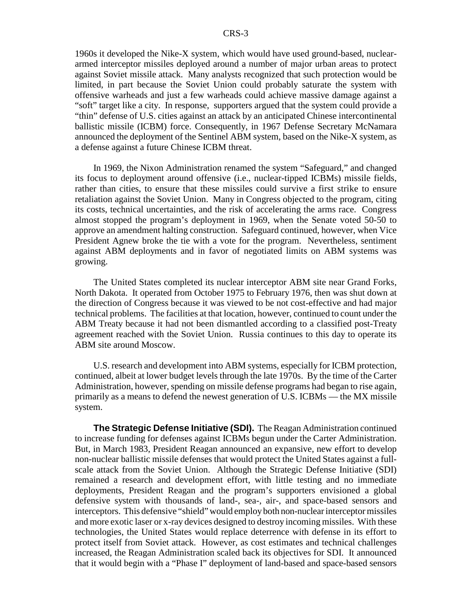1960s it developed the Nike-X system, which would have used ground-based, nucleararmed interceptor missiles deployed around a number of major urban areas to protect against Soviet missile attack. Many analysts recognized that such protection would be limited, in part because the Soviet Union could probably saturate the system with offensive warheads and just a few warheads could achieve massive damage against a "soft" target like a city. In response, supporters argued that the system could provide a "thin" defense of U.S. cities against an attack by an anticipated Chinese intercontinental ballistic missile (ICBM) force. Consequently, in 1967 Defense Secretary McNamara announced the deployment of the Sentinel ABM system, based on the Nike-X system, as a defense against a future Chinese ICBM threat.

In 1969, the Nixon Administration renamed the system "Safeguard," and changed its focus to deployment around offensive (i.e., nuclear-tipped ICBMs) missile fields, rather than cities, to ensure that these missiles could survive a first strike to ensure retaliation against the Soviet Union. Many in Congress objected to the program, citing its costs, technical uncertainties, and the risk of accelerating the arms race. Congress almost stopped the program's deployment in 1969, when the Senate voted 50-50 to approve an amendment halting construction. Safeguard continued, however, when Vice President Agnew broke the tie with a vote for the program. Nevertheless, sentiment against ABM deployments and in favor of negotiated limits on ABM systems was growing.

The United States completed its nuclear interceptor ABM site near Grand Forks, North Dakota. It operated from October 1975 to February 1976, then was shut down at the direction of Congress because it was viewed to be not cost-effective and had major technical problems. The facilities at that location, however, continued to count under the ABM Treaty because it had not been dismantled according to a classified post-Treaty agreement reached with the Soviet Union. Russia continues to this day to operate its ABM site around Moscow.

U.S. research and development into ABM systems, especially for ICBM protection, continued, albeit at lower budget levels through the late 1970s. By the time of the Carter Administration, however, spending on missile defense programs had began to rise again, primarily as a means to defend the newest generation of U.S. ICBMs — the MX missile system.

**The Strategic Defense Initiative (SDI).** The Reagan Administration continued to increase funding for defenses against ICBMs begun under the Carter Administration. But, in March 1983, President Reagan announced an expansive, new effort to develop non-nuclear ballistic missile defenses that would protect the United States against a fullscale attack from the Soviet Union. Although the Strategic Defense Initiative (SDI) remained a research and development effort, with little testing and no immediate deployments, President Reagan and the program's supporters envisioned a global defensive system with thousands of land-, sea-, air-, and space-based sensors and interceptors. This defensive "shield" would employ both non-nuclear interceptor missiles and more exotic laser or x-ray devices designed to destroy incoming missiles. With these technologies, the United States would replace deterrence with defense in its effort to protect itself from Soviet attack. However, as cost estimates and technical challenges increased, the Reagan Administration scaled back its objectives for SDI. It announced that it would begin with a "Phase I" deployment of land-based and space-based sensors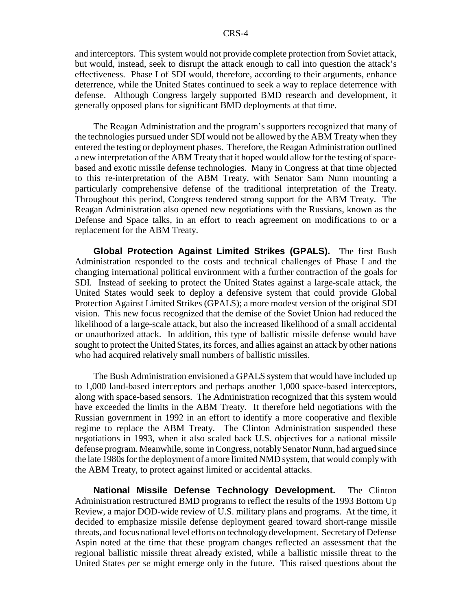and interceptors. This system would not provide complete protection from Soviet attack, but would, instead, seek to disrupt the attack enough to call into question the attack's effectiveness. Phase I of SDI would, therefore, according to their arguments, enhance deterrence, while the United States continued to seek a way to replace deterrence with defense. Although Congress largely supported BMD research and development, it generally opposed plans for significant BMD deployments at that time.

The Reagan Administration and the program's supporters recognized that many of the technologies pursued under SDI would not be allowed by the ABM Treaty when they entered the testing or deployment phases. Therefore, the Reagan Administration outlined a new interpretation of the ABM Treaty that it hoped would allow for the testing of spacebased and exotic missile defense technologies. Many in Congress at that time objected to this re-interpretation of the ABM Treaty, with Senator Sam Nunn mounting a particularly comprehensive defense of the traditional interpretation of the Treaty. Throughout this period, Congress tendered strong support for the ABM Treaty. The Reagan Administration also opened new negotiations with the Russians, known as the Defense and Space talks, in an effort to reach agreement on modifications to or a replacement for the ABM Treaty.

**Global Protection Against Limited Strikes (GPALS).** The first Bush Administration responded to the costs and technical challenges of Phase I and the changing international political environment with a further contraction of the goals for SDI. Instead of seeking to protect the United States against a large-scale attack, the United States would seek to deploy a defensive system that could provide Global Protection Against Limited Strikes (GPALS); a more modest version of the original SDI vision. This new focus recognized that the demise of the Soviet Union had reduced the likelihood of a large-scale attack, but also the increased likelihood of a small accidental or unauthorized attack. In addition, this type of ballistic missile defense would have sought to protect the United States, its forces, and allies against an attack by other nations who had acquired relatively small numbers of ballistic missiles.

The Bush Administration envisioned a GPALS system that would have included up to 1,000 land-based interceptors and perhaps another 1,000 space-based interceptors, along with space-based sensors. The Administration recognized that this system would have exceeded the limits in the ABM Treaty. It therefore held negotiations with the Russian government in 1992 in an effort to identify a more cooperative and flexible regime to replace the ABM Treaty. The Clinton Administration suspended these negotiations in 1993, when it also scaled back U.S. objectives for a national missile defense program. Meanwhile, some in Congress, notably Senator Nunn, had argued since the late 1980s for the deployment of a more limited NMD system, that would comply with the ABM Treaty, to protect against limited or accidental attacks.

**National Missile Defense Technology Development.** The Clinton Administration restructured BMD programs to reflect the results of the 1993 Bottom Up Review, a major DOD-wide review of U.S. military plans and programs. At the time, it decided to emphasize missile defense deployment geared toward short-range missile threats, and focus national level efforts on technology development. Secretary of Defense Aspin noted at the time that these program changes reflected an assessment that the regional ballistic missile threat already existed, while a ballistic missile threat to the United States *per se* might emerge only in the future. This raised questions about the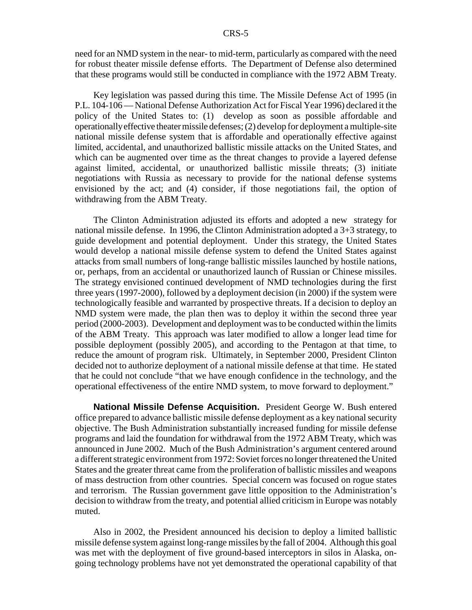need for an NMD system in the near- to mid-term, particularly as compared with the need for robust theater missile defense efforts. The Department of Defense also determined that these programs would still be conducted in compliance with the 1972 ABM Treaty.

Key legislation was passed during this time. The Missile Defense Act of 1995 (in P.L. 104-106 — National Defense Authorization Act for Fiscal Year 1996) declared it the policy of the United States to: (1) develop as soon as possible affordable and operationally effective theater missile defenses; (2) develop for deployment a multiple-site national missile defense system that is affordable and operationally effective against limited, accidental, and unauthorized ballistic missile attacks on the United States, and which can be augmented over time as the threat changes to provide a layered defense against limited, accidental, or unauthorized ballistic missile threats; (3) initiate negotiations with Russia as necessary to provide for the national defense systems envisioned by the act; and (4) consider, if those negotiations fail, the option of withdrawing from the ABM Treaty.

The Clinton Administration adjusted its efforts and adopted a new strategy for national missile defense. In 1996, the Clinton Administration adopted a 3+3 strategy, to guide development and potential deployment. Under this strategy, the United States would develop a national missile defense system to defend the United States against attacks from small numbers of long-range ballistic missiles launched by hostile nations, or, perhaps, from an accidental or unauthorized launch of Russian or Chinese missiles. The strategy envisioned continued development of NMD technologies during the first three years (1997-2000), followed by a deployment decision (in 2000) if the system were technologically feasible and warranted by prospective threats. If a decision to deploy an NMD system were made, the plan then was to deploy it within the second three year period (2000-2003). Development and deployment was to be conducted within the limits of the ABM Treaty. This approach was later modified to allow a longer lead time for possible deployment (possibly 2005), and according to the Pentagon at that time, to reduce the amount of program risk. Ultimately, in September 2000, President Clinton decided not to authorize deployment of a national missile defense at that time. He stated that he could not conclude "that we have enough confidence in the technology, and the operational effectiveness of the entire NMD system, to move forward to deployment."

**National Missile Defense Acquisition.** President George W. Bush entered office prepared to advance ballistic missile defense deployment as a key national security objective. The Bush Administration substantially increased funding for missile defense programs and laid the foundation for withdrawal from the 1972 ABM Treaty, which was announced in June 2002. Much of the Bush Administration's argument centered around a different strategic environment from 1972: Soviet forces no longer threatened the United States and the greater threat came from the proliferation of ballistic missiles and weapons of mass destruction from other countries. Special concern was focused on rogue states and terrorism. The Russian government gave little opposition to the Administration's decision to withdraw from the treaty, and potential allied criticism in Europe was notably muted.

Also in 2002, the President announced his decision to deploy a limited ballistic missile defense system against long-range missiles by the fall of 2004. Although this goal was met with the deployment of five ground-based interceptors in silos in Alaska, ongoing technology problems have not yet demonstrated the operational capability of that